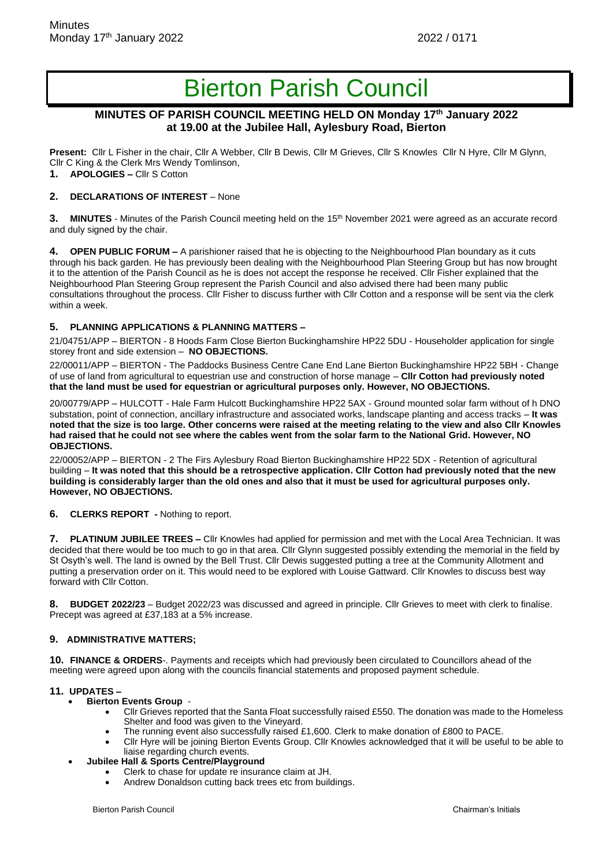# Bierton Parish Council

## **MINUTES OF PARISH COUNCIL MEETING HELD ON Monday 17th January 2022 at 19.00 at the Jubilee Hall, Aylesbury Road, Bierton**

**Present:** Cllr L Fisher in the chair, Cllr A Webber, Cllr B Dewis, Cllr M Grieves, Cllr S Knowles Cllr N Hyre, Cllr M Glynn, Cllr C King & the Clerk Mrs Wendy Tomlinson,

**1. APOLOGIES –** Cllr S Cotton

### **2. DECLARATIONS OF INTEREST** – None

**3.** MINUTES - Minutes of the Parish Council meeting held on the 15<sup>th</sup> November 2021 were agreed as an accurate record and duly signed by the chair.

**4. OPEN PUBLIC FORUM –** A parishioner raised that he is objecting to the Neighbourhood Plan boundary as it cuts through his back garden. He has previously been dealing with the Neighbourhood Plan Steering Group but has now brought it to the attention of the Parish Council as he is does not accept the response he received. Cllr Fisher explained that the Neighbourhood Plan Steering Group represent the Parish Council and also advised there had been many public consultations throughout the process. Cllr Fisher to discuss further with Cllr Cotton and a response will be sent via the clerk within a week.

#### **5. PLANNING APPLICATIONS & PLANNING MATTERS –**

21/04751/APP – BIERTON - 8 Hoods Farm Close Bierton Buckinghamshire HP22 5DU - Householder application for single storey front and side extension – **NO OBJECTIONS.**

22/00011/APP – BIERTON - The Paddocks Business Centre Cane End Lane Bierton Buckinghamshire HP22 5BH - Change of use of land from agricultural to equestrian use and construction of horse manage – **Cllr Cotton had previously noted that the land must be used for equestrian or agricultural purposes only. However, NO OBJECTIONS.**

20/00779/APP – HULCOTT - Hale Farm Hulcott Buckinghamshire HP22 5AX - Ground mounted solar farm without of h DNO substation, point of connection, ancillary infrastructure and associated works, landscape planting and access tracks – **It was noted that the size is too large. Other concerns were raised at the meeting relating to the view and also Cllr Knowles had raised that he could not see where the cables went from the solar farm to the National Grid. However, NO OBJECTIONS.**

22/00052/APP – BIERTON - 2 The Firs Aylesbury Road Bierton Buckinghamshire HP22 5DX - Retention of agricultural building – **It was noted that this should be a retrospective application. Cllr Cotton had previously noted that the new building is considerably larger than the old ones and also that it must be used for agricultural purposes only. However, NO OBJECTIONS.**

### **6. CLERKS REPORT -** Nothing to report.

**7. PLATINUM JUBILEE TREES –** Cllr Knowles had applied for permission and met with the Local Area Technician. It was decided that there would be too much to go in that area. Cllr Glynn suggested possibly extending the memorial in the field by St Osyth's well. The land is owned by the Bell Trust. Cllr Dewis suggested putting a tree at the Community Allotment and putting a preservation order on it. This would need to be explored with Louise Gattward. Cllr Knowles to discuss best way forward with Cllr Cotton.

**8. BUDGET 2022/23** – Budget 2022/23 was discussed and agreed in principle. Cllr Grieves to meet with clerk to finalise. Precept was agreed at £37,183 at a 5% increase.

### **9. ADMINISTRATIVE MATTERS;**

**10. FINANCE & ORDERS**-. Payments and receipts which had previously been circulated to Councillors ahead of the meeting were agreed upon along with the councils financial statements and proposed payment schedule.

### **11. UPDATES –**

- **Bierton Events Group**
	- Cllr Grieves reported that the Santa Float successfully raised £550. The donation was made to the Homeless Shelter and food was given to the Vineyard.
	- The running event also successfully raised £1,600. Clerk to make donation of £800 to PACE.
	- Cllr Hyre will be joining Bierton Events Group. Cllr Knowles acknowledged that it will be useful to be able to liaise regarding church events.
- **Jubilee Hall & Sports Centre/Playground**
	- Clerk to chase for update re insurance claim at JH.
	- Andrew Donaldson cutting back trees etc from buildings.